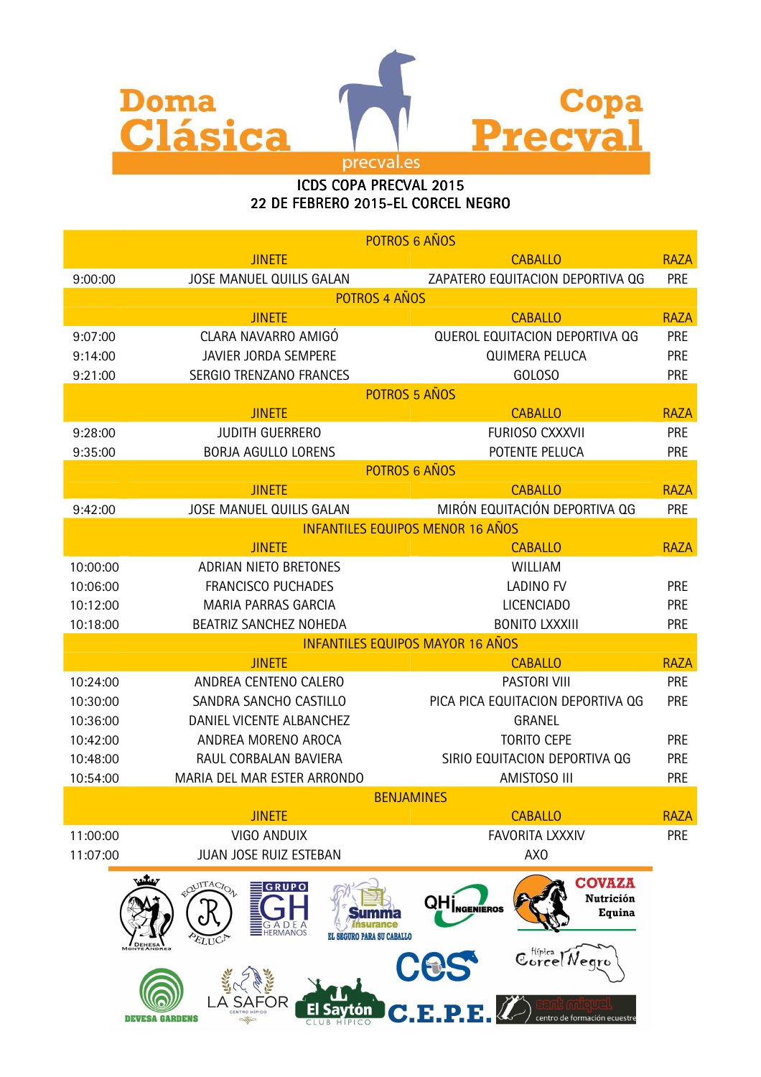

## ICDS COPA PRECVAL 2015 22 DE FEBRERO 2015-EL CORCEL NEGRO

|                                                | POTROS 6 AÑOS                                                                           |                                                                                          |             |  |  |
|------------------------------------------------|-----------------------------------------------------------------------------------------|------------------------------------------------------------------------------------------|-------------|--|--|
|                                                | <b>JINETE</b>                                                                           | <b>CABALLO</b>                                                                           | <b>RAZA</b> |  |  |
| 9:00:00                                        | <b>JOSE MANUEL QUILIS GALAN</b>                                                         | ZAPATERO EQUITACION DEPORTIVA QG                                                         | PRE         |  |  |
|                                                | POTROS 4 AÑOS                                                                           |                                                                                          |             |  |  |
| <b>JINETE</b><br><b>CABALLO</b><br><b>RAZA</b> |                                                                                         |                                                                                          |             |  |  |
| 9:07:00                                        | CLARA NAVARRO AMIGÓ                                                                     | <b>QUEROL EQUITACION DEPORTIVA QG</b>                                                    | PRE         |  |  |
| 9:14:00                                        | JAVIER JORDA SEMPERE                                                                    | <b>QUIMERA PELUCA</b>                                                                    | <b>PRE</b>  |  |  |
| 9:21:00                                        | <b>SERGIO TRENZANO FRANCES</b>                                                          | GOLOSO                                                                                   | <b>PRE</b>  |  |  |
|                                                | POTROS 5 AÑOS                                                                           |                                                                                          |             |  |  |
|                                                | <b>JINETE</b>                                                                           | <b>CABALLO</b>                                                                           | <b>RAZA</b> |  |  |
| 9:28:00                                        | <b>JUDITH GUERRERO</b>                                                                  | FURIOSO CXXXVII                                                                          | PRE         |  |  |
| 9:35:00                                        | <b>BORJA AGULLO LORENS</b>                                                              | POTENTE PELUCA                                                                           | PRE         |  |  |
|                                                | POTROS 6 AÑOS                                                                           |                                                                                          |             |  |  |
|                                                | <b>JINETE</b>                                                                           | <b>CABALLO</b>                                                                           | <b>RAZA</b> |  |  |
| 9:42:00                                        | JOSE MANUEL QUILIS GALAN                                                                | MIRÓN EQUITACIÓN DEPORTIVA QG                                                            | <b>PRE</b>  |  |  |
|                                                | <b>INFANTILES EQUIPOS MENOR 16 AÑOS</b>                                                 |                                                                                          |             |  |  |
|                                                | <b>JINETE</b>                                                                           | <b>CABALLO</b>                                                                           | <b>RAZA</b> |  |  |
| 10:00:00                                       | ADRIAN NIETO BRETONES                                                                   | WILLIAM                                                                                  |             |  |  |
| 10:06:00                                       | <b>FRANCISCO PUCHADES</b>                                                               | <b>LADINO FV</b>                                                                         | PRE         |  |  |
| 10:12:00                                       | <b>MARIA PARRAS GARCIA</b>                                                              | <b>LICENCIADO</b>                                                                        | PRE         |  |  |
| 10:18:00                                       | BEATRIZ SANCHEZ NOHEDA                                                                  | <b>BONITO LXXXIII</b>                                                                    | <b>PRE</b>  |  |  |
|                                                | <b>INFANTILES EQUIPOS MAYOR 16 AÑOS</b>                                                 |                                                                                          |             |  |  |
|                                                | <b>JINETE</b>                                                                           | <b>CABALLO</b>                                                                           | <b>RAZA</b> |  |  |
| 10:24:00                                       | ANDREA CENTENO CALERO                                                                   | <b>PASTORI VIII</b>                                                                      | PRE         |  |  |
| 10:30:00                                       | SANDRA SANCHO CASTILLO                                                                  | PICA PICA EQUITACION DEPORTIVA QG                                                        | <b>PRE</b>  |  |  |
| 10:36:00                                       | DANIEL VICENTE ALBANCHEZ                                                                | <b>GRANEL</b>                                                                            |             |  |  |
| 10:42:00                                       | ANDREA MORENO AROCA                                                                     | <b>TORITO CEPE</b>                                                                       | <b>PRE</b>  |  |  |
| 10:48:00                                       | RAUL CORBALAN BAVIERA                                                                   | SIRIO EQUITACION DEPORTIVA QG                                                            | <b>PRE</b>  |  |  |
| 10:54:00                                       | MARIA DEL MAR ESTER ARRONDO                                                             | AMISTOSO III                                                                             | <b>PRE</b>  |  |  |
|                                                | <b>BENJAMINES</b>                                                                       |                                                                                          |             |  |  |
|                                                | <b>JINETE</b>                                                                           | <b>CABALLO</b>                                                                           | <b>RAZA</b> |  |  |
| 11:00:00                                       | <b>VIGO ANDUIX</b>                                                                      | <b>FAVORITA LXXXIV</b>                                                                   | PRE         |  |  |
| 11:07:00                                       | JUAN JOSE RUIZ ESTEBAN                                                                  | AX <sub>0</sub>                                                                          |             |  |  |
|                                                | EQUITACION<br><b>GRUPO</b><br>G<br>ADE<br><b>EHERMANOS</b><br>EL SEGURO PARA SU CABALLO | <b>COVAZA</b><br>Nutrición<br><b>QH</b><br><sub>NGENEROS</sub><br>Equina<br>Corcel Negro |             |  |  |
|                                                | m<br><b>DEVESA GARDENS</b>                                                              | C.E.P.E.<br>centro de formación ecuestre                                                 |             |  |  |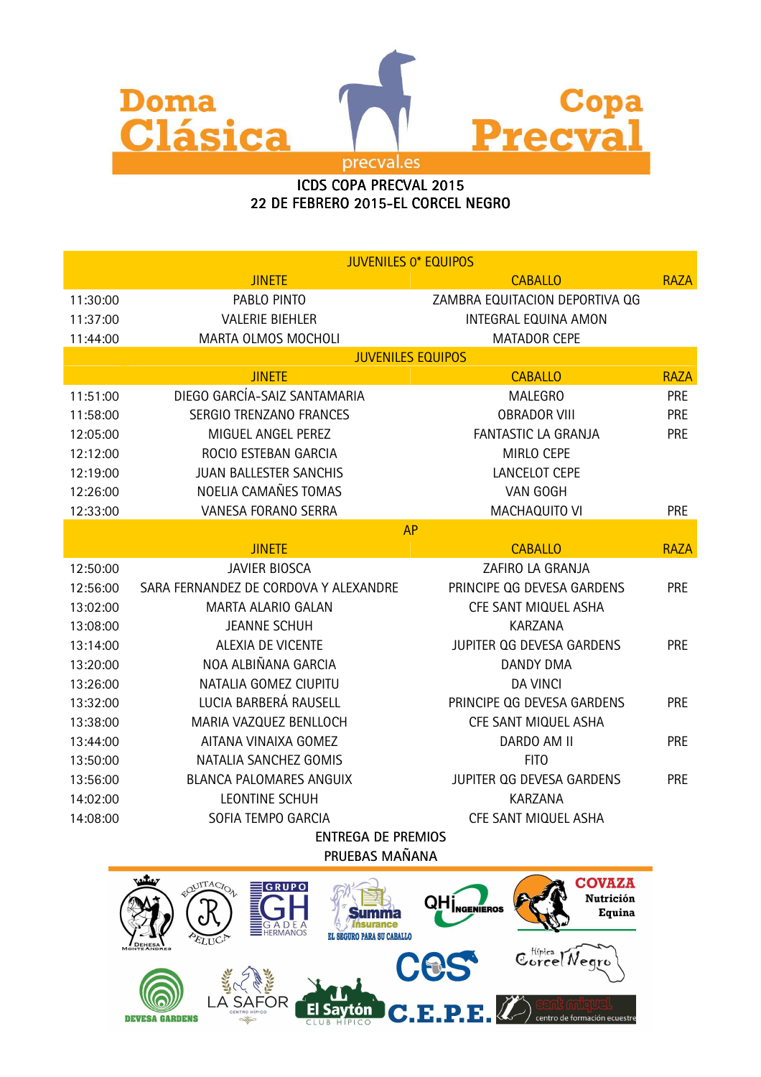

## ICDS COPA PRECVAL 2015 22 DE FEBRERO 2015-EL CORCEL NEGRO

|                    | <b>JUVENILES 0* EQUIPOS</b>           |                                |             |  |  |
|--------------------|---------------------------------------|--------------------------------|-------------|--|--|
|                    | <b>JINETE</b>                         | <b>CABALLO</b>                 | <b>RAZA</b> |  |  |
| 11:30:00           | PABLO PINTO                           | ZAMBRA EQUITACION DEPORTIVA QG |             |  |  |
| 11:37:00           | <b>VALERIE BIEHLER</b>                | <b>INTEGRAL EQUINA AMON</b>    |             |  |  |
| 11:44:00           | MARTA OLMOS MOCHOLI                   | <b>MATADOR CEPE</b>            |             |  |  |
|                    | <b>JUVENILES EQUIPOS</b>              |                                |             |  |  |
|                    | <b>JINETE</b>                         | <b>CABALLO</b>                 | <b>RAZA</b> |  |  |
| 11:51:00           | DIEGO GARCÍA-SAIZ SANTAMARIA          | <b>MALEGRO</b>                 | <b>PRE</b>  |  |  |
| 11:58:00           | <b>SERGIO TRENZANO FRANCES</b>        | <b>OBRADOR VIII</b>            | <b>PRE</b>  |  |  |
| 12:05:00           | MIGUEL ANGEL PEREZ                    | <b>FANTASTIC LA GRANJA</b>     | <b>PRE</b>  |  |  |
| 12:12:00           | ROCIO ESTEBAN GARCIA                  | MIRLO CEPE                     |             |  |  |
| 12:19:00           | <b>JUAN BALLESTER SANCHIS</b>         | <b>LANCELOT CEPE</b>           |             |  |  |
| 12:26:00           | NOELIA CAMAÑES TOMAS                  | VAN GOGH                       |             |  |  |
| 12:33:00           | VANESA FORANO SERRA                   | MACHAQUITO VI                  | <b>PRE</b>  |  |  |
|                    | <b>AP</b>                             |                                |             |  |  |
|                    | <b>JINETE</b>                         | <b>CABALLO</b>                 | <b>RAZA</b> |  |  |
| 12:50:00           | <b>JAVIER BIOSCA</b>                  | ZAFIRO LA GRANJA               |             |  |  |
| 12:56:00           | SARA FERNANDEZ DE CORDOVA Y ALEXANDRE | PRINCIPE QG DEVESA GARDENS     | <b>PRE</b>  |  |  |
| 13:02:00           | MARTA ALARIO GALAN                    | CFE SANT MIQUEL ASHA           |             |  |  |
| 13:08:00           | <b>JEANNE SCHUH</b>                   | <b>KARZANA</b>                 |             |  |  |
| 13:14:00           | <b>ALEXIA DE VICENTE</b>              | JUPITER QG DEVESA GARDENS      | <b>PRE</b>  |  |  |
| 13:20:00           | NOA ALBIÑANA GARCIA                   | <b>DANDY DMA</b>               |             |  |  |
| 13:26:00           | NATALIA GOMEZ CIUPITU                 | <b>DA VINCI</b>                |             |  |  |
| 13:32:00           | LUCIA BARBERÁ RAUSELL                 | PRINCIPE QG DEVESA GARDENS     | <b>PRE</b>  |  |  |
| 13:38:00           | MARIA VAZQUEZ BENLLOCH                | CFE SANT MIQUEL ASHA           |             |  |  |
| 13:44:00           | AITANA VINAIXA GOMEZ                  | DARDO AM II                    | <b>PRE</b>  |  |  |
| 13:50:00           | NATALIA SANCHEZ GOMIS                 | <b>FITO</b>                    |             |  |  |
| 13:56:00           | <b>BLANCA PALOMARES ANGUIX</b>        | JUPITER OG DEVESA GARDENS      | <b>PRE</b>  |  |  |
| 14:02:00           | <b>LEONTINE SCHUH</b>                 | <b>KARZANA</b>                 |             |  |  |
| 14:08:00           | SOFIA TEMPO GARCIA                    | CFE SANT MIQUEL ASHA           |             |  |  |
| ENTREGA DE PREMIOS |                                       |                                |             |  |  |

**PRUEBAS MAÑANA**